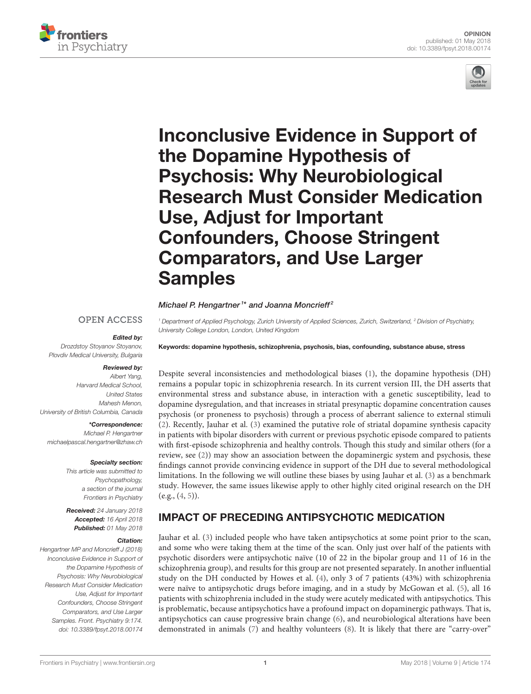



# Inconclusive Evidence in Support of the Dopamine Hypothesis of Psychosis: Why Neurobiological [Research Must Consider Medication](https://www.frontiersin.org/articles/10.3389/fpsyt.2018.00174/full) Use, Adjust for Important Confounders, Choose Stringent Comparators, and Use Larger Samples

### [Michael P. Hengartner](http://loop.frontiersin.org/people/193865/overview)<sup>1\*</sup> and Joanna Moncrieff<sup>2</sup>

### **OPEN ACCESS**

### Edited by:

*Drozdstoy Stoyanov Stoyanov, Plovdiv Medical University, Bulgaria*

### Reviewed by:

*Albert Yang, Harvard Medical School, United States Mahesh Menon, University of British Columbia, Canada*

### \*Correspondence:

*Michael P. Hengartner [michaelpascal.hengartner@zhaw.ch](mailto:michaelpascal.hengartner@zhaw.ch)*

### Specialty section:

*This article was submitted to Psychopathology, a section of the journal Frontiers in Psychiatry*

Received: *24 January 2018* Accepted: *16 April 2018* Published: *01 May 2018*

### Citation:

*Hengartner MP and Moncrieff J (2018) Inconclusive Evidence in Support of the Dopamine Hypothesis of Psychosis: Why Neurobiological Research Must Consider Medication Use, Adjust for Important Confounders, Choose Stringent Comparators, and Use Larger Samples. Front. Psychiatry 9:174. doi: [10.3389/fpsyt.2018.00174](https://doi.org/10.3389/fpsyt.2018.00174)*

*<sup>1</sup> Department of Applied Psychology, Zurich University of Applied Sciences, Zurich, Switzerland, <sup>2</sup> Division of Psychiatry, University College London, London, United Kingdom*

Keywords: dopamine hypothesis, schizophrenia, psychosis, bias, confounding, substance abuse, stress

Despite several inconsistencies and methodological biases [\(1\)](#page-2-0), the dopamine hypothesis (DH) remains a popular topic in schizophrenia research. In its current version III, the DH asserts that environmental stress and substance abuse, in interaction with a genetic susceptibility, lead to dopamine dysregulation, and that increases in striatal presynaptic dopamine concentration causes psychosis (or proneness to psychosis) through a process of aberrant salience to external stimuli [\(2\)](#page-2-1). Recently, Jauhar et al. [\(3\)](#page-2-2) examined the putative role of striatal dopamine synthesis capacity in patients with bipolar disorders with current or previous psychotic episode compared to patients with first-episode schizophrenia and healthy controls. Though this study and similar others (for a review, see [\(2\)](#page-2-1)) may show an association between the dopaminergic system and psychosis, these findings cannot provide convincing evidence in support of the DH due to several methodological limitations. In the following we will outline these biases by using Jauhar et al. [\(3\)](#page-2-2) as a benchmark study. However, the same issues likewise apply to other highly cited original research on the DH  $(e.g., (4, 5)).$  $(e.g., (4, 5)).$  $(e.g., (4, 5)).$  $(e.g., (4, 5)).$  $(e.g., (4, 5)).$ 

# IMPACT OF PRECEDING ANTIPSYCHOTIC MEDICATION

Jauhar et al. [\(3\)](#page-2-2) included people who have taken antipsychotics at some point prior to the scan, and some who were taking them at the time of the scan. Only just over half of the patients with psychotic disorders were antipsychotic naïve (10 of 22 in the bipolar group and 11 of 16 in the schizophrenia group), and results for this group are not presented separately. In another influential study on the DH conducted by Howes et al. [\(4\)](#page-2-3), only 3 of 7 patients (43%) with schizophrenia were naïve to antipsychotic drugs before imaging, and in a study by McGowan et al. [\(5\)](#page-2-4), all 16 patients with schizophrenia included in the study were acutely medicated with antipsychotics. This is problematic, because antipsychotics have a profound impact on dopaminergic pathways. That is, antipsychotics can cause progressive brain change [\(6\)](#page-2-5), and neurobiological alterations have been demonstrated in animals [\(7\)](#page-2-6) and healthy volunteers [\(8\)](#page-2-7). It is likely that there are "carry-over"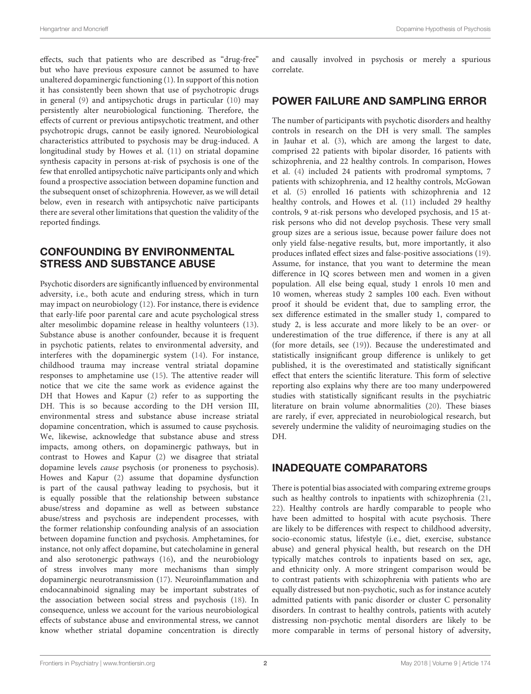effects, such that patients who are described as "drug-free" but who have previous exposure cannot be assumed to have unaltered dopaminergic functioning [\(1\)](#page-2-0). In support of this notion it has consistently been shown that use of psychotropic drugs in general [\(9\)](#page-2-8) and antipsychotic drugs in particular [\(10\)](#page-2-9) may persistently alter neurobiological functioning. Therefore, the effects of current or previous antipsychotic treatment, and other psychotropic drugs, cannot be easily ignored. Neurobiological characteristics attributed to psychosis may be drug-induced. A longitudinal study by Howes et al. [\(11\)](#page-2-10) on striatal dopamine synthesis capacity in persons at-risk of psychosis is one of the few that enrolled antipsychotic naïve participants only and which found a prospective association between dopamine function and the subsequent onset of schizophrenia. However, as we will detail below, even in research with antipsychotic naïve participants there are several other limitations that question the validity of the reported findings.

# CONFOUNDING BY ENVIRONMENTAL STRESS AND SUBSTANCE ABUSE

Psychotic disorders are significantly influenced by environmental adversity, i.e., both acute and enduring stress, which in turn may impact on neurobiology [\(12\)](#page-2-11). For instance, there is evidence that early-life poor parental care and acute psychological stress alter mesolimbic dopamine release in healthy volunteers [\(13\)](#page-2-12). Substance abuse is another confounder, because it is frequent in psychotic patients, relates to environmental adversity, and interferes with the dopaminergic system [\(14\)](#page-2-13). For instance, childhood trauma may increase ventral striatal dopamine responses to amphetamine use [\(15\)](#page-2-14). The attentive reader will notice that we cite the same work as evidence against the DH that Howes and Kapur [\(2\)](#page-2-1) refer to as supporting the DH. This is so because according to the DH version III, environmental stress and substance abuse increase striatal dopamine concentration, which is assumed to cause psychosis. We, likewise, acknowledge that substance abuse and stress impacts, among others, on dopaminergic pathways, but in contrast to Howes and Kapur [\(2\)](#page-2-1) we disagree that striatal dopamine levels cause psychosis (or proneness to psychosis). Howes and Kapur [\(2\)](#page-2-1) assume that dopamine dysfunction is part of the causal pathway leading to psychosis, but it is equally possible that the relationship between substance abuse/stress and dopamine as well as between substance abuse/stress and psychosis are independent processes, with the former relationship confounding analysis of an association between dopamine function and psychosis. Amphetamines, for instance, not only affect dopamine, but catecholamine in general and also serotonergic pathways [\(16\)](#page-3-0), and the neurobiology of stress involves many more mechanisms than simply dopaminergic neurotransmission [\(17\)](#page-3-1). Neuroinflammation and endocannabinoid signaling may be important substrates of the association between social stress and psychosis [\(18\)](#page-3-2). In consequence, unless we account for the various neurobiological effects of substance abuse and environmental stress, we cannot know whether striatal dopamine concentration is directly and causally involved in psychosis or merely a spurious correlate.

# POWER FAILURE AND SAMPLING ERROR

The number of participants with psychotic disorders and healthy controls in research on the DH is very small. The samples in Jauhar et al. [\(3\)](#page-2-2), which are among the largest to date, comprised 22 patients with bipolar disorder, 16 patients with schizophrenia, and 22 healthy controls. In comparison, Howes et al. [\(4\)](#page-2-3) included 24 patients with prodromal symptoms, 7 patients with schizophrenia, and 12 healthy controls, McGowan et al. [\(5\)](#page-2-4) enrolled 16 patients with schizophrenia and 12 healthy controls, and Howes et al. [\(11\)](#page-2-10) included 29 healthy controls, 9 at-risk persons who developed psychosis, and 15 atrisk persons who did not develop psychosis. These very small group sizes are a serious issue, because power failure does not only yield false-negative results, but, more importantly, it also produces inflated effect sizes and false-positive associations [\(19\)](#page-3-3). Assume, for instance, that you want to determine the mean difference in IQ scores between men and women in a given population. All else being equal, study 1 enrols 10 men and 10 women, whereas study 2 samples 100 each. Even without proof it should be evident that, due to sampling error, the sex difference estimated in the smaller study 1, compared to study 2, is less accurate and more likely to be an over- or underestimation of the true difference, if there is any at all (for more details, see [\(19\)](#page-3-3)). Because the underestimated and statistically insignificant group difference is unlikely to get published, it is the overestimated and statistically significant effect that enters the scientific literature. This form of selective reporting also explains why there are too many underpowered studies with statistically significant results in the psychiatric literature on brain volume abnormalities [\(20\)](#page-3-4). These biases are rarely, if ever, appreciated in neurobiological research, but severely undermine the validity of neuroimaging studies on the DH.

## INADEQUATE COMPARATORS

There is potential bias associated with comparing extreme groups such as healthy controls to inpatients with schizophrenia [\(21,](#page-3-5) [22\)](#page-3-6). Healthy controls are hardly comparable to people who have been admitted to hospital with acute psychosis. There are likely to be differences with respect to childhood adversity, socio-economic status, lifestyle (i.e., diet, exercise, substance abuse) and general physical health, but research on the DH typically matches controls to inpatients based on sex, age, and ethnicity only. A more stringent comparison would be to contrast patients with schizophrenia with patients who are equally distressed but non-psychotic, such as for instance acutely admitted patients with panic disorder or cluster C personality disorders. In contrast to healthy controls, patients with acutely distressing non-psychotic mental disorders are likely to be more comparable in terms of personal history of adversity,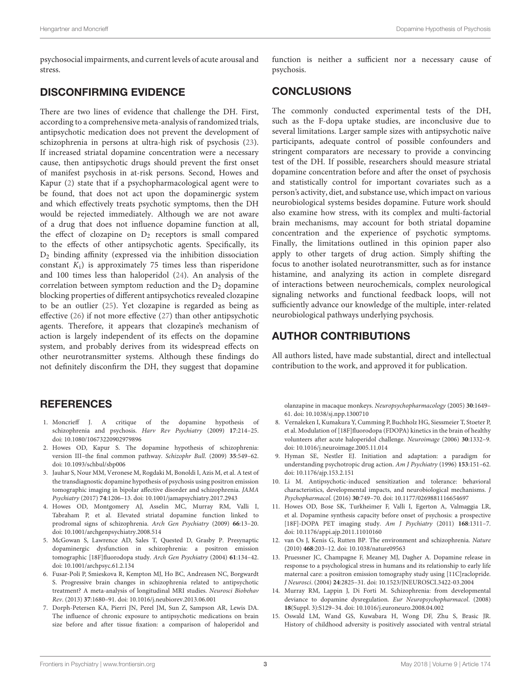psychosocial impairments, and current levels of acute arousal and stress.

# DISCONFIRMING EVIDENCE

There are two lines of evidence that challenge the DH. First, according to a comprehensive meta-analysis of randomized trials, antipsychotic medication does not prevent the development of schizophrenia in persons at ultra-high risk of psychosis [\(23\)](#page-3-7). If increased striatal dopamine concentration were a necessary cause, then antipsychotic drugs should prevent the first onset of manifest psychosis in at-risk persons. Second, Howes and Kapur [\(2\)](#page-2-1) state that if a psychopharmacological agent were to be found, that does not act upon the dopaminergic system and which effectively treats psychotic symptoms, then the DH would be rejected immediately. Although we are not aware of a drug that does not influence dopamine function at all, the effect of clozapine on  $D_2$  receptors is small compared to the effects of other antipsychotic agents. Specifically, its D<sup>2</sup> binding affinity (expressed via the inhibition dissociation constant  $K_i$ ) is approximately 75 times less than risperidone and 100 times less than haloperidol [\(24\)](#page-3-8). An analysis of the correlation between symptom reduction and the D<sup>2</sup> dopamine blocking properties of different antipsychotics revealed clozapine to be an outlier [\(25\)](#page-3-9). Yet clozapine is regarded as being as effective [\(26\)](#page-3-10) if not more effective [\(27\)](#page-3-11) than other antipsychotic agents. Therefore, it appears that clozapine's mechanism of action is largely independent of its effects on the dopamine system, and probably derives from its widespread effects on other neurotransmitter systems. Although these findings do not definitely disconfirm the DH, they suggest that dopamine

# **REFERENCES**

- <span id="page-2-0"></span>1. Moncrieff J. A critique of the dopamine hypothesis of schizophrenia and psychosis. Harv Rev Psychiatry (2009) **17**:214–25. doi: [10.1080/10673220902979896](https://doi.org/10.1080/10673220902979896)
- <span id="page-2-1"></span>2. Howes OD, Kapur S. The dopamine hypothesis of schizophrenia: version III–the final common pathway. Schizophr Bull. (2009) **35**:549–62. doi: [10.1093/schbul/sbp006](https://doi.org/10.1093/schbul/sbp006)
- <span id="page-2-2"></span>3. Jauhar S, Nour MM, Veronese M, Rogdaki M, Bonoldi I, Azis M, et al. A test of the transdiagnostic dopamine hypothesis of psychosis using positron emission tomographic imaging in bipolar affective disorder and schizophrenia. JAMA Psychiatry (2017) **74**:1206–13. doi: [10.1001/jamapsychiatry.2017.2943](https://doi.org/10.1001/jamapsychiatry.2017.2943)
- <span id="page-2-3"></span>4. Howes OD, Montgomery AJ, Asselin MC, Murray RM, Valli I, Tabraham P, et al. Elevated striatal dopamine function linked to prodromal signs of schizophrenia. Arch Gen Psychiatry (2009) **66**:13–20. doi: [10.1001/archgenpsychiatry.2008.514](https://doi.org/10.1001/archgenpsychiatry.2008.514)
- <span id="page-2-4"></span>5. McGowan S, Lawrence AD, Sales T, Quested D, Grasby P. Presynaptic dopaminergic dysfunction in schizophrenia: a positron emission tomographic [18F]fluorodopa study. Arch Gen Psychiatry (2004) **61**:134–42. doi: [10.1001/archpsyc.61.2.134](https://doi.org/10.1001/archpsyc.61.2.134)
- <span id="page-2-5"></span>6. Fusar-Poli P, Smieskova R, Kempton MJ, Ho BC, Andreasen NC, Borgwardt S. Progressive brain changes in schizophrenia related to antipsychotic treatment? A meta-analysis of longitudinal MRI studies. Neurosci Biobehav Rev. (2013) **37**:1680–91. doi: [10.1016/j.neubiorev.2013.06.001](https://doi.org/10.1016/j.neubiorev.2013.06.001)
- <span id="page-2-6"></span>7. Dorph-Petersen KA, Pierri JN, Perel JM, Sun Z, Sampson AR, Lewis DA. The influence of chronic exposure to antipsychotic medications on brain size before and after tissue fixation: a comparison of haloperidol and

function is neither a sufficient nor a necessary cause of psychosis.

# **CONCLUSIONS**

The commonly conducted experimental tests of the DH, such as the F-dopa uptake studies, are inconclusive due to several limitations. Larger sample sizes with antipsychotic naïve participants, adequate control of possible confounders and stringent comparators are necessary to provide a convincing test of the DH. If possible, researchers should measure striatal dopamine concentration before and after the onset of psychosis and statistically control for important covariates such as a person's activity, diet, and substance use, which impact on various neurobiological systems besides dopamine. Future work should also examine how stress, with its complex and multi-factorial brain mechanisms, may account for both striatal dopamine concentration and the experience of psychotic symptoms. Finally, the limitations outlined in this opinion paper also apply to other targets of drug action. Simply shifting the focus to another isolated neurotransmitter, such as for instance histamine, and analyzing its action in complete disregard of interactions between neurochemicals, complex neurological signaling networks and functional feedback loops, will not sufficiently advance our knowledge of the multiple, inter-related neurobiological pathways underlying psychosis.

# AUTHOR CONTRIBUTIONS

All authors listed, have made substantial, direct and intellectual contribution to the work, and approved it for publication.

olanzapine in macaque monkeys. Neuropsychopharmacology (2005) **30**:1649– 61. doi: [10.1038/sj.npp.1300710](https://doi.org/10.1038/sj.npp.1300710)

- <span id="page-2-7"></span>8. Vernaleken I, Kumakura Y, Cumming P, Buchholz HG, Siessmeier T, Stoeter P, et al. Modulation of [18F]fluorodopa (FDOPA) kinetics in the brain of healthy volunteers after acute haloperidol challenge. Neuroimage (2006) **30**:1332–9. doi: [10.1016/j.neuroimage.2005.11.014](https://doi.org/10.1016/j.neuroimage.2005.11.014)
- <span id="page-2-8"></span>9. Hyman SE, Nestler EJ. Initiation and adaptation: a paradigm for understanding psychotropic drug action. Am J Psychiatry (1996) **153**:151–62. doi: [10.1176/ajp.153.2.151](https://doi.org/10.1176/ajp.153.2.151)
- <span id="page-2-9"></span>10. Li M. Antipsychotic-induced sensitization and tolerance: behavioral characteristics, developmental impacts, and neurobiological mechanisms. J Psychopharmacol. (2016) **30**:749–70. doi: [10.1177/0269881116654697](https://doi.org/10.1177/0269881116654697)
- <span id="page-2-10"></span>11. Howes OD, Bose SK, Turkheimer F, Valli I, Egerton A, Valmaggia LR, et al. Dopamine synthesis capacity before onset of psychosis: a prospective [18F]-DOPA PET imaging study. Am J Psychiatry (2011) **168**:1311–7. doi: [10.1176/appi.ajp.2011.11010160](https://doi.org/10.1176/appi.ajp.2011.11010160)
- <span id="page-2-11"></span>12. van Os J, Kenis G, Rutten BP. The environment and schizophrenia. Nature (2010) **468**:203–12. doi: [10.1038/nature09563](https://doi.org/10.1038/nature09563)
- <span id="page-2-12"></span>13. Pruessner JC, Champagne F, Meaney MJ, Dagher A. Dopamine release in response to a psychological stress in humans and its relationship to early life maternal care: a positron emission tomography study using [11C]raclopride. J Neurosci. (2004) **24**:2825–31. doi: [10.1523/JNEUROSCI.3422-03.2004](https://doi.org/10.1523/JNEUROSCI.3422-03.2004)
- <span id="page-2-13"></span>14. Murray RM, Lappin J, Di Forti M. Schizophrenia: from developmental deviance to dopamine dysregulation. Eur Neuropsychopharmacol. (2008) **18**(Suppl. 3):S129–34. doi: [10.1016/j.euroneuro.2008.04.002](https://doi.org/10.1016/j.euroneuro.2008.04.002)
- <span id="page-2-14"></span>15. Oswald LM, Wand GS, Kuwabara H, Wong DF, Zhu S, Brasic JR. History of childhood adversity is positively associated with ventral striatal